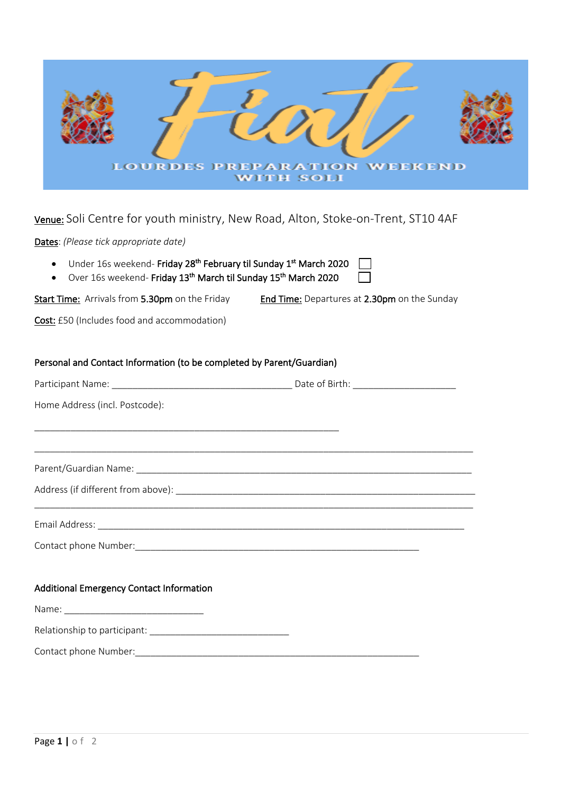| <b>LOURDES PREPARATION WEEKEND</b><br><b>WITH SOLI</b>                                                                                                                                                                         |
|--------------------------------------------------------------------------------------------------------------------------------------------------------------------------------------------------------------------------------|
| Venue: Soli Centre for youth ministry, New Road, Alton, Stoke-on-Trent, ST10 4AF                                                                                                                                               |
| Dates: (Please tick appropriate date)                                                                                                                                                                                          |
| Under 16s weekend- Friday 28 <sup>th</sup> February til Sunday 1 <sup>st</sup> March 2020<br>Over 16s weekend- Friday 13 <sup>th</sup> March til Sunday 15 <sup>th</sup> March 2020                                            |
| End Time: Departures at 2.30pm on the Sunday<br>Start Time: Arrivals from 5.30pm on the Friday                                                                                                                                 |
| Cost: £50 (Includes food and accommodation)                                                                                                                                                                                    |
| Personal and Contact Information (to be completed by Parent/Guardian)<br>Home Address (incl. Postcode):                                                                                                                        |
| Parent/Guardian Name: Name and Second Contract of the Contract of the Contract of the Contract of the Contract of the Contract of the Contract of the Contract of the Contract of the Contract of the Contract of the Contract |
|                                                                                                                                                                                                                                |
| Additional Emergency Contact Information                                                                                                                                                                                       |
|                                                                                                                                                                                                                                |
|                                                                                                                                                                                                                                |